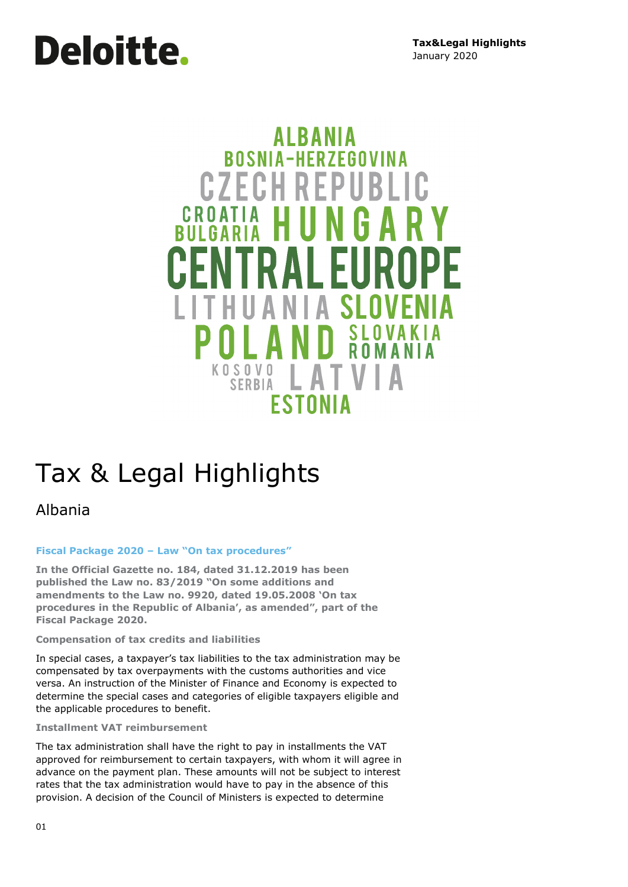# **Deloitte.**

### AI RANIA **ROSNIA-HERZEGOVINA CZECHREP** CROATIA Н SI Δ **KOSOVO** I AT **SERBIA ESTONIA**

## Tax & Legal Highlights

Albania

#### **Fiscal Package 2020 – Law "On tax procedures"**

**In the Official Gazette no. 184, dated 31.12.2019 has been published the Law no. 83/2019 "On some additions and amendments to the Law no. 9920, dated 19.05.2008 'On tax procedures in the Republic of Albania', as amended", part of the Fiscal Package 2020.** 

#### **Compensation of tax credits and liabilities**

In special cases, a taxpayer's tax liabilities to the tax administration may be compensated by tax overpayments with the customs authorities and vice versa. An instruction of the Minister of Finance and Economy is expected to determine the special cases and categories of eligible taxpayers eligible and the applicable procedures to benefit.

#### **Installment VAT reimbursement**

The tax administration shall have the right to pay in installments the VAT approved for reimbursement to certain taxpayers, with whom it will agree in advance on the payment plan. These amounts will not be subject to interest rates that the tax administration would have to pay in the absence of this provision. A decision of the Council of Ministers is expected to determine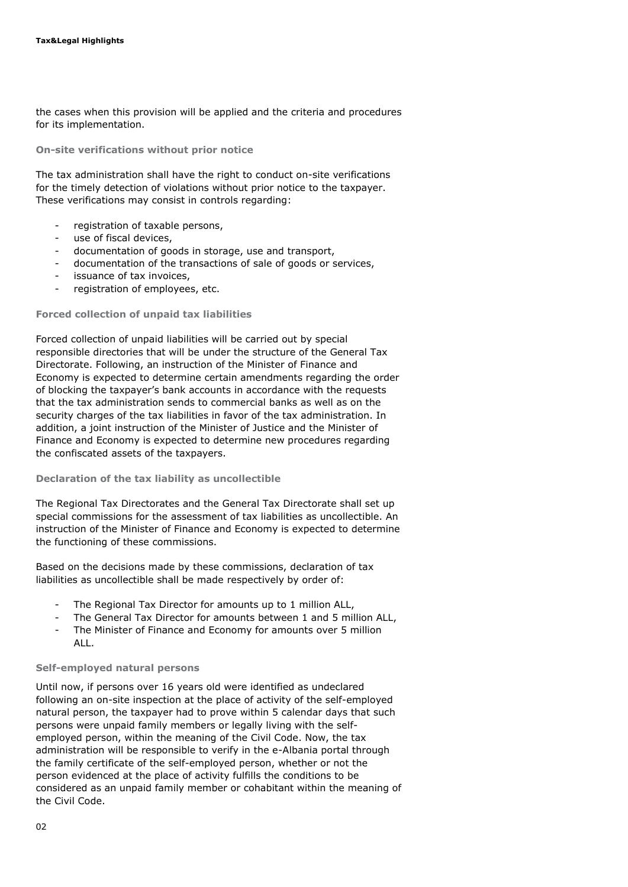the cases when this provision will be applied and the criteria and procedures for its implementation.

**On-site verifications without prior notice**

The tax administration shall have the right to conduct on-site verifications for the timely detection of violations without prior notice to the taxpayer. These verifications may consist in controls regarding:

- registration of taxable persons,
- use of fiscal devices.
- documentation of goods in storage, use and transport,
- documentation of the transactions of sale of goods or services,
- issuance of tax invoices,
- registration of employees, etc.

#### **Forced collection of unpaid tax liabilities**

Forced collection of unpaid liabilities will be carried out by special responsible directories that will be under the structure of the General Tax Directorate. Following, an instruction of the Minister of Finance and Economy is expected to determine certain amendments regarding the order of blocking the taxpayer's bank accounts in accordance with the requests that the tax administration sends to commercial banks as well as on the security charges of the tax liabilities in favor of the tax administration. In addition, a joint instruction of the Minister of Justice and the Minister of Finance and Economy is expected to determine new procedures regarding the confiscated assets of the taxpayers.

#### **Declaration of the tax liability as uncollectible**

The Regional Tax Directorates and the General Tax Directorate shall set up special commissions for the assessment of tax liabilities as uncollectible. An instruction of the Minister of Finance and Economy is expected to determine the functioning of these commissions.

Based on the decisions made by these commissions, declaration of tax liabilities as uncollectible shall be made respectively by order of:

- The Regional Tax Director for amounts up to 1 million ALL,
- The General Tax Director for amounts between 1 and 5 million ALL,
- The Minister of Finance and Economy for amounts over 5 million ALL.

#### **Self-employed natural persons**

Until now, if persons over 16 years old were identified as undeclared following an on-site inspection at the place of activity of the self-employed natural person, the taxpayer had to prove within 5 calendar days that such persons were unpaid family members or legally living with the selfemployed person, within the meaning of the Civil Code. Now, the tax administration will be responsible to verify in the e-Albania portal through the family certificate of the self-employed person, whether or not the person evidenced at the place of activity fulfills the conditions to be considered as an unpaid family member or cohabitant within the meaning of the Civil Code.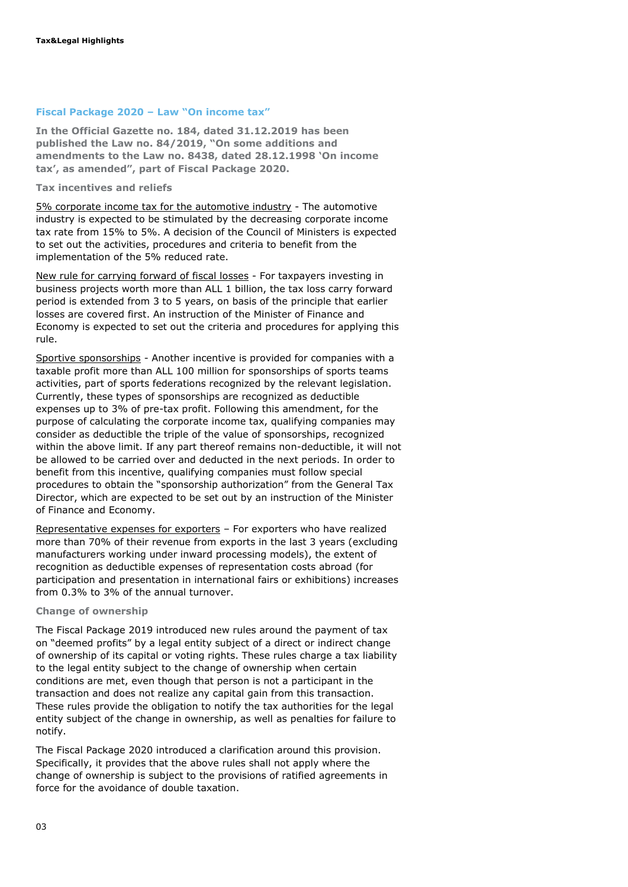#### **Fiscal Package 2020 – Law "On income tax"**

**In the Official Gazette no. 184, dated 31.12.2019 has been published the Law no. 84/2019, "On some additions and amendments to the Law no. 8438, dated 28.12.1998 'On income tax', as amended", part of Fiscal Package 2020.** 

**Tax incentives and reliefs**

5% corporate income tax for the automotive industry - The automotive industry is expected to be stimulated by the decreasing corporate income tax rate from 15% to 5%. A decision of the Council of Ministers is expected to set out the activities, procedures and criteria to benefit from the implementation of the 5% reduced rate.

New rule for carrying forward of fiscal losses - For taxpayers investing in business projects worth more than ALL 1 billion, the tax loss carry forward period is extended from 3 to 5 years, on basis of the principle that earlier losses are covered first. An instruction of the Minister of Finance and Economy is expected to set out the criteria and procedures for applying this rule.

Sportive sponsorships - Another incentive is provided for companies with a taxable profit more than ALL 100 million for sponsorships of sports teams activities, part of sports federations recognized by the relevant legislation. Currently, these types of sponsorships are recognized as deductible expenses up to 3% of pre-tax profit. Following this amendment, for the purpose of calculating the corporate income tax, qualifying companies may consider as deductible the triple of the value of sponsorships, recognized within the above limit. If any part thereof remains non-deductible, it will not be allowed to be carried over and deducted in the next periods. In order to benefit from this incentive, qualifying companies must follow special procedures to obtain the "sponsorship authorization" from the General Tax Director, which are expected to be set out by an instruction of the Minister of Finance and Economy.

Representative expenses for exporters – For exporters who have realized more than 70% of their revenue from exports in the last 3 years (excluding manufacturers working under inward processing models), the extent of recognition as deductible expenses of representation costs abroad (for participation and presentation in international fairs or exhibitions) increases from 0.3% to 3% of the annual turnover.

#### **Change of ownership**

The Fiscal Package 2019 introduced new rules around the payment of tax on "deemed profits" by a legal entity subject of a direct or indirect change of ownership of its capital or voting rights. These rules charge a tax liability to the legal entity subject to the change of ownership when certain conditions are met, even though that person is not a participant in the transaction and does not realize any capital gain from this transaction. These rules provide the obligation to notify the tax authorities for the legal entity subject of the change in ownership, as well as penalties for failure to notify.

The Fiscal Package 2020 introduced a clarification around this provision. Specifically, it provides that the above rules shall not apply where the change of ownership is subject to the provisions of ratified agreements in force for the avoidance of double taxation.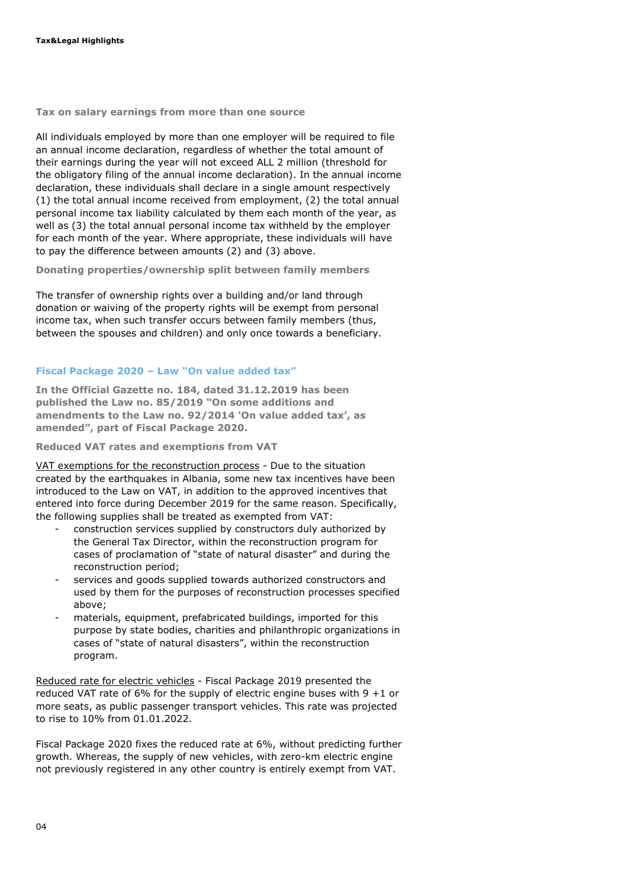**Tax on salary earnings from more than one source**

All individuals employed by more than one employer will be required to file an annual income declaration, regardless of whether the total amount of their earnings during the year will not exceed ALL 2 million (threshold for the obligatory filing of the annual income declaration). In the annual income declaration, these individuals shall declare in a single amount respectively (1) the total annual income received from employment, (2) the total annual personal income tax liability calculated by them each month of the year, as well as (3) the total annual personal income tax withheld by the employer for each month of the year. Where appropriate, these individuals will have to pay the difference between amounts (2) and (3) above.

**Donating properties/ownership split between family members**

The transfer of ownership rights over a building and/or land through donation or waiving of the property rights will be exempt from personal income tax, when such transfer occurs between family members (thus, between the spouses and children) and only once towards a beneficiary.

#### **Fiscal Package 2020 – Law "On value added tax"**

**In the Official Gazette no. 184, dated 31.12.2019 has been published the Law no. 85/2019 "On some additions and amendments to the Law no. 92/2014 'On value added tax', as amended", part of Fiscal Package 2020.** 

**Reduced VAT rates and exemptions from VAT**

VAT exemptions for the reconstruction process - Due to the situation created by the earthquakes in Albania, some new tax incentives have been introduced to the Law on VAT, in addition to the approved incentives that entered into force during December 2019 for the same reason. Specifically, the following supplies shall be treated as exempted from VAT:

- construction services supplied by constructors duly authorized by the General Tax Director, within the reconstruction program for cases of proclamation of "state of natural disaster" and during the reconstruction period;
- services and goods supplied towards authorized constructors and used by them for the purposes of reconstruction processes specified above;
- materials, equipment, prefabricated buildings, imported for this purpose by state bodies, charities and philanthropic organizations in cases of "state of natural disasters", within the reconstruction program.

Reduced rate for electric vehicles - Fiscal Package 2019 presented the reduced VAT rate of 6% for the supply of electric engine buses with  $9 + 1$  or more seats, as public passenger transport vehicles. This rate was projected to rise to 10% from 01.01.2022.

Fiscal Package 2020 fixes the reduced rate at 6%, without predicting further growth. Whereas, the supply of new vehicles, with zero-km electric engine not previously registered in any other country is entirely exempt from VAT.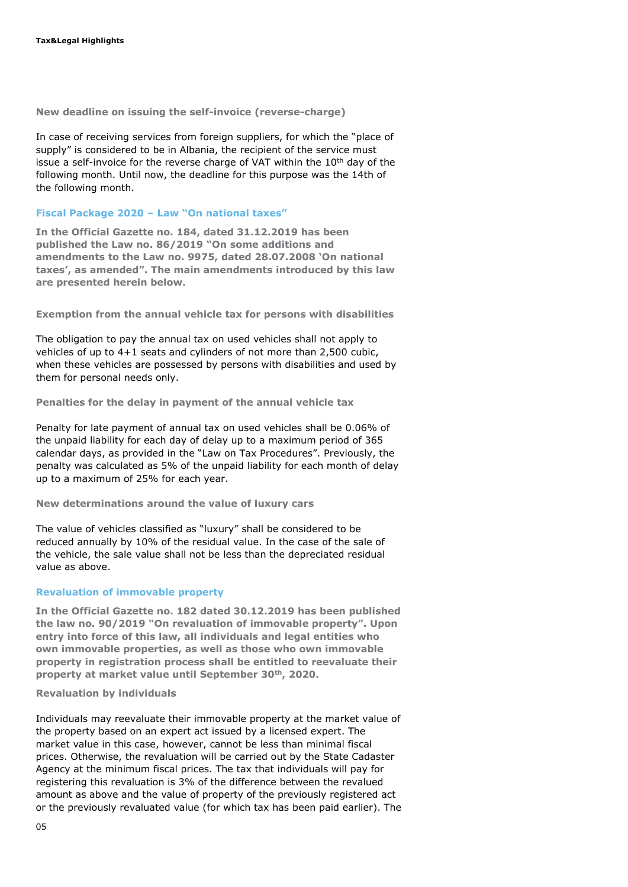**New deadline on issuing the self-invoice (reverse-charge)**

In case of receiving services from foreign suppliers, for which the "place of supply" is considered to be in Albania, the recipient of the service must issue a self-invoice for the reverse charge of VAT within the  $10<sup>th</sup>$  day of the following month. Until now, the deadline for this purpose was the 14th of the following month.

#### **Fiscal Package 2020 – Law "On national taxes"**

**In the Official Gazette no. 184, dated 31.12.2019 has been published the Law no. 86/2019 "On some additions and amendments to the Law no. 9975, dated 28.07.2008 'On national taxes', as amended". The main amendments introduced by this law are presented herein below.**

**Exemption from the annual vehicle tax for persons with disabilities**

The obligation to pay the annual tax on used vehicles shall not apply to vehicles of up to 4+1 seats and cylinders of not more than 2,500 cubic, when these vehicles are possessed by persons with disabilities and used by them for personal needs only.

**Penalties for the delay in payment of the annual vehicle tax**

Penalty for late payment of annual tax on used vehicles shall be 0.06% of the unpaid liability for each day of delay up to a maximum period of 365 calendar days, as provided in the "Law on Tax Procedures". Previously, the penalty was calculated as 5% of the unpaid liability for each month of delay up to a maximum of 25% for each year.

**New determinations around the value of luxury cars**

The value of vehicles classified as "luxury" shall be considered to be reduced annually by 10% of the residual value. In the case of the sale of the vehicle, the sale value shall not be less than the depreciated residual value as above.

#### **Revaluation of immovable property**

**In the Official Gazette no. 182 dated 30.12.2019 has been published the law no. 90/2019 "On revaluation of immovable property". Upon entry into force of this law, all individuals and legal entities who own immovable properties, as well as those who own immovable property in registration process shall be entitled to reevaluate their property at market value until September 30th, 2020.** 

#### **Revaluation by individuals**

Individuals may reevaluate their immovable property at the market value of the property based on an expert act issued by a licensed expert. The market value in this case, however, cannot be less than minimal fiscal prices. Otherwise, the revaluation will be carried out by the State Cadaster Agency at the minimum fiscal prices. The tax that individuals will pay for registering this revaluation is 3% of the difference between the revalued amount as above and the value of property of the previously registered act or the previously revaluated value (for which tax has been paid earlier). The